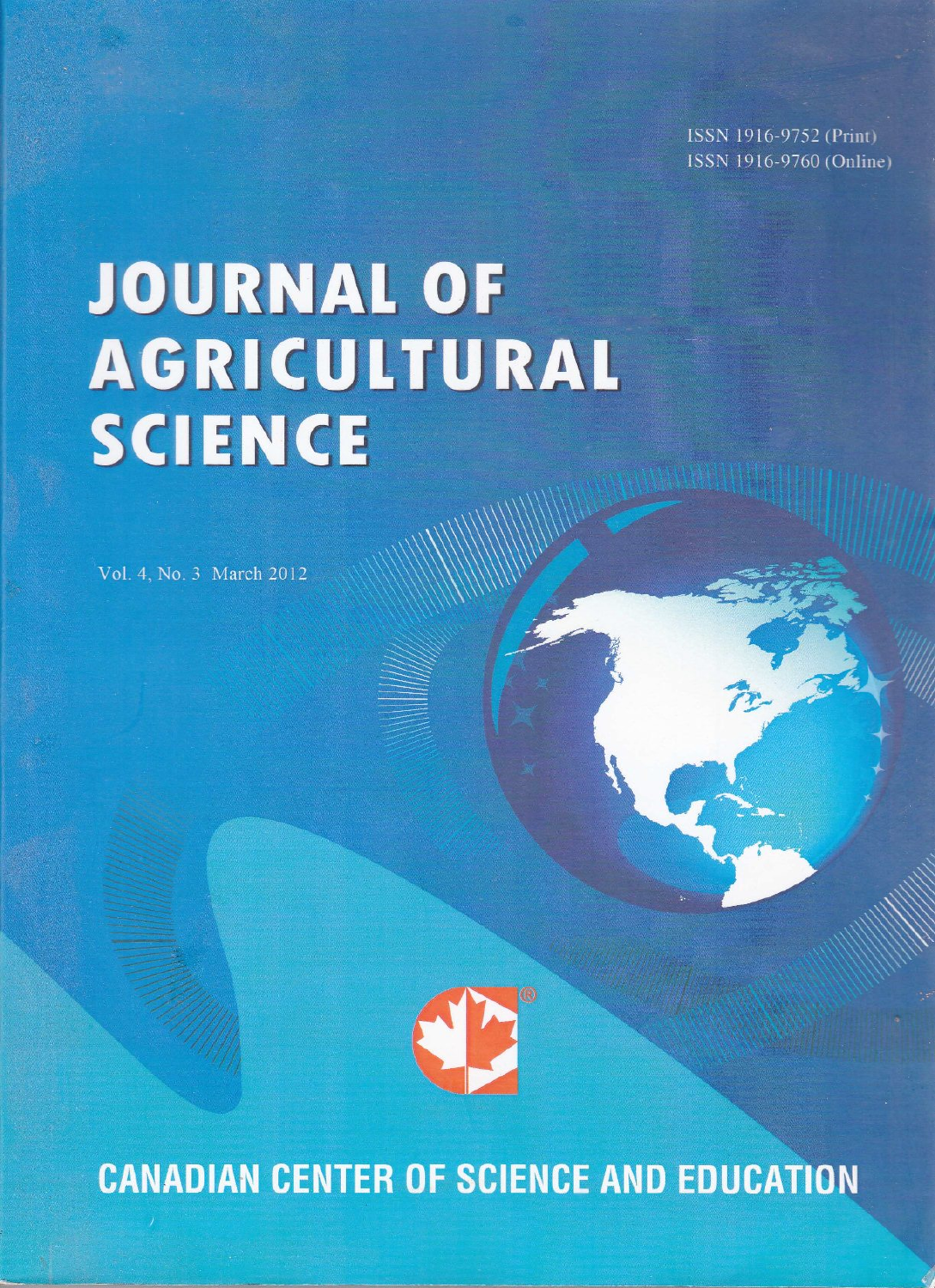ISSN 1916-9752 (Print) ISSN 1916-9760 (Online)

# **JOURNAL OF AGRICULTURAL SCIENCE**

Vol. 4, No. 3 March 2012



**CANADIAN CENTER OF SCIENCE AND EDUCATION**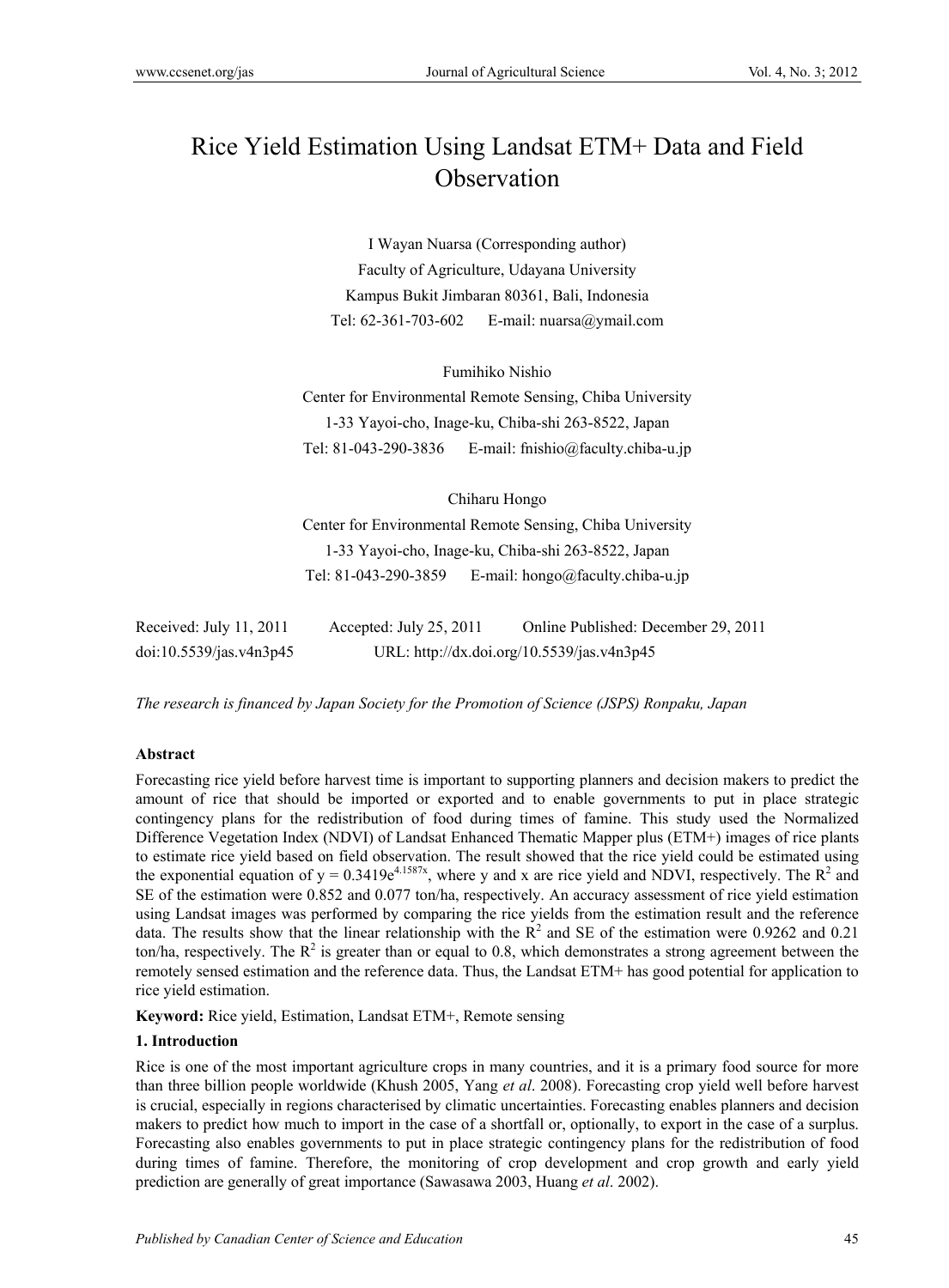## Rice Yield Estimation Using Landsat ETM+ Data and Field **Observation**

I Wayan Nuarsa (Corresponding author) Faculty of Agriculture, Udayana University Kampus Bukit Jimbaran 80361, Bali, Indonesia Tel: 62-361-703-602 E-mail: nuarsa@ymail.com

Fumihiko Nishio Center for Environmental Remote Sensing, Chiba University 1-33 Yayoi-cho, Inage-ku, Chiba-shi 263-8522, Japan Tel: 81-043-290-3836 E-mail: fnishio@faculty.chiba-u.jp

Chiharu Hongo

Center for Environmental Remote Sensing, Chiba University 1-33 Yayoi-cho, Inage-ku, Chiba-shi 263-8522, Japan Tel: 81-043-290-3859 E-mail: hongo@faculty.chiba-u.jp

| Received: July $11, 2011$ | Accepted: July 25, 2011 | Online Published: December 29, 2011        |
|---------------------------|-------------------------|--------------------------------------------|
| doi:10.5539/jas.v4n3p45   |                         | URL: http://dx.doi.org/10.5539/jas.v4n3p45 |

*The research is financed by Japan Society for the Promotion of Science (JSPS) Ronpaku, Japan* 

#### **Abstract**

Forecasting rice yield before harvest time is important to supporting planners and decision makers to predict the amount of rice that should be imported or exported and to enable governments to put in place strategic contingency plans for the redistribution of food during times of famine. This study used the Normalized Difference Vegetation Index (NDVI) of Landsat Enhanced Thematic Mapper plus (ETM+) images of rice plants to estimate rice yield based on field observation. The result showed that the rice yield could be estimated using the exponential equation of  $y = 0.3419e^{4.1587x}$ , where y and x are rice yield and NDVI, respectively. The  $R^2$  and SE of the estimation were 0.852 and 0.077 ton/ha, respectively. An accuracy assessment of rice yield estimation using Landsat images was performed by comparing the rice yields from the estimation result and the reference data. The results show that the linear relationship with the  $R^2$  and SE of the estimation were 0.9262 and 0.21 ton/ha, respectively. The  $R^2$  is greater than or equal to 0.8, which demonstrates a strong agreement between the remotely sensed estimation and the reference data. Thus, the Landsat ETM+ has good potential for application to rice yield estimation.

**Keyword:** Rice yield, Estimation, Landsat ETM+, Remote sensing

#### **1. Introduction**

Rice is one of the most important agriculture crops in many countries, and it is a primary food source for more than three billion people worldwide (Khush 2005, Yang *et al*. 2008). Forecasting crop yield well before harvest is crucial, especially in regions characterised by climatic uncertainties. Forecasting enables planners and decision makers to predict how much to import in the case of a shortfall or, optionally, to export in the case of a surplus. Forecasting also enables governments to put in place strategic contingency plans for the redistribution of food during times of famine. Therefore, the monitoring of crop development and crop growth and early yield prediction are generally of great importance (Sawasawa 2003, Huang *et al*. 2002).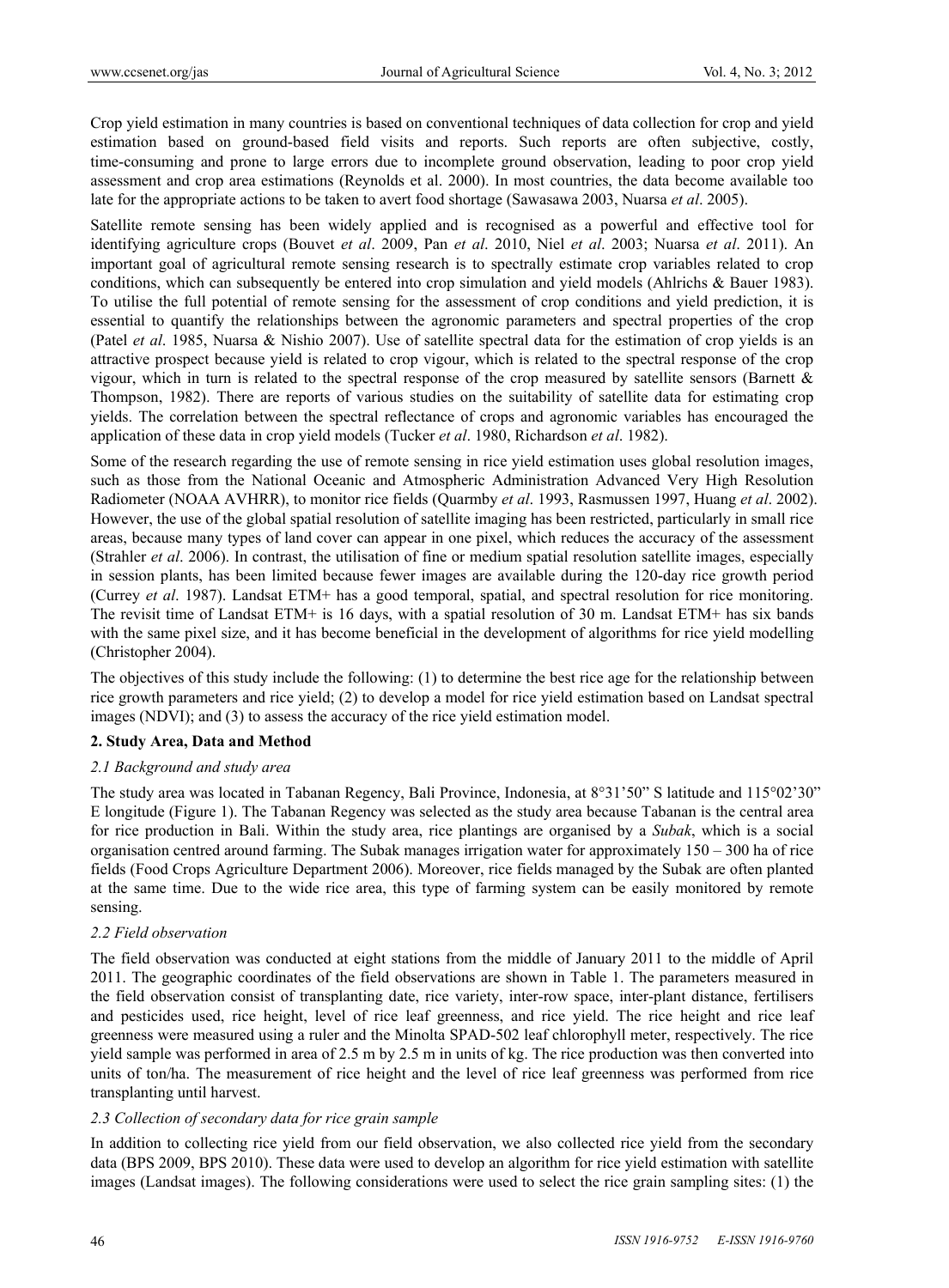Crop yield estimation in many countries is based on conventional techniques of data collection for crop and yield estimation based on ground-based field visits and reports. Such reports are often subjective, costly, time-consuming and prone to large errors due to incomplete ground observation, leading to poor crop yield assessment and crop area estimations (Reynolds et al. 2000). In most countries, the data become available too late for the appropriate actions to be taken to avert food shortage (Sawasawa 2003, Nuarsa *et al*. 2005).

Satellite remote sensing has been widely applied and is recognised as a powerful and effective tool for identifying agriculture crops (Bouvet *et al*. 2009, Pan *et al*. 2010, Niel *et al*. 2003; Nuarsa *et al*. 2011). An important goal of agricultural remote sensing research is to spectrally estimate crop variables related to crop conditions, which can subsequently be entered into crop simulation and yield models (Ahlrichs & Bauer 1983). To utilise the full potential of remote sensing for the assessment of crop conditions and yield prediction, it is essential to quantify the relationships between the agronomic parameters and spectral properties of the crop (Patel *et al*. 1985, Nuarsa & Nishio 2007). Use of satellite spectral data for the estimation of crop yields is an attractive prospect because yield is related to crop vigour, which is related to the spectral response of the crop vigour, which in turn is related to the spectral response of the crop measured by satellite sensors (Barnett & Thompson, 1982). There are reports of various studies on the suitability of satellite data for estimating crop yields. The correlation between the spectral reflectance of crops and agronomic variables has encouraged the application of these data in crop yield models (Tucker *et al*. 1980, Richardson *et al*. 1982).

Some of the research regarding the use of remote sensing in rice yield estimation uses global resolution images, such as those from the National Oceanic and Atmospheric Administration Advanced Very High Resolution Radiometer (NOAA AVHRR), to monitor rice fields (Quarmby *et al*. 1993, Rasmussen 1997, Huang *et al*. 2002). However, the use of the global spatial resolution of satellite imaging has been restricted, particularly in small rice areas, because many types of land cover can appear in one pixel, which reduces the accuracy of the assessment (Strahler *et al*. 2006). In contrast, the utilisation of fine or medium spatial resolution satellite images, especially in session plants, has been limited because fewer images are available during the 120-day rice growth period (Currey *et al*. 1987). Landsat ETM+ has a good temporal, spatial, and spectral resolution for rice monitoring. The revisit time of Landsat ETM+ is 16 days, with a spatial resolution of 30 m. Landsat ETM+ has six bands with the same pixel size, and it has become beneficial in the development of algorithms for rice yield modelling (Christopher 2004).

The objectives of this study include the following: (1) to determine the best rice age for the relationship between rice growth parameters and rice yield; (2) to develop a model for rice yield estimation based on Landsat spectral images (NDVI); and (3) to assess the accuracy of the rice yield estimation model.

#### **2. Study Area, Data and Method**

#### *2.1 Background and study area*

The study area was located in Tabanan Regency, Bali Province, Indonesia, at 8°31'50" S latitude and 115°02'30" E longitude (Figure 1). The Tabanan Regency was selected as the study area because Tabanan is the central area for rice production in Bali. Within the study area, rice plantings are organised by a *Subak*, which is a social organisation centred around farming. The Subak manages irrigation water for approximately 150 – 300 ha of rice fields (Food Crops Agriculture Department 2006). Moreover, rice fields managed by the Subak are often planted at the same time. Due to the wide rice area, this type of farming system can be easily monitored by remote sensing.

#### *2.2 Field observation*

The field observation was conducted at eight stations from the middle of January 2011 to the middle of April 2011. The geographic coordinates of the field observations are shown in Table 1. The parameters measured in the field observation consist of transplanting date, rice variety, inter-row space, inter-plant distance, fertilisers and pesticides used, rice height, level of rice leaf greenness, and rice yield. The rice height and rice leaf greenness were measured using a ruler and the Minolta SPAD-502 leaf chlorophyll meter, respectively. The rice yield sample was performed in area of 2.5 m by 2.5 m in units of kg. The rice production was then converted into units of ton/ha. The measurement of rice height and the level of rice leaf greenness was performed from rice transplanting until harvest.

#### *2.3 Collection of secondary data for rice grain sample*

In addition to collecting rice yield from our field observation, we also collected rice yield from the secondary data (BPS 2009, BPS 2010). These data were used to develop an algorithm for rice yield estimation with satellite images (Landsat images). The following considerations were used to select the rice grain sampling sites: (1) the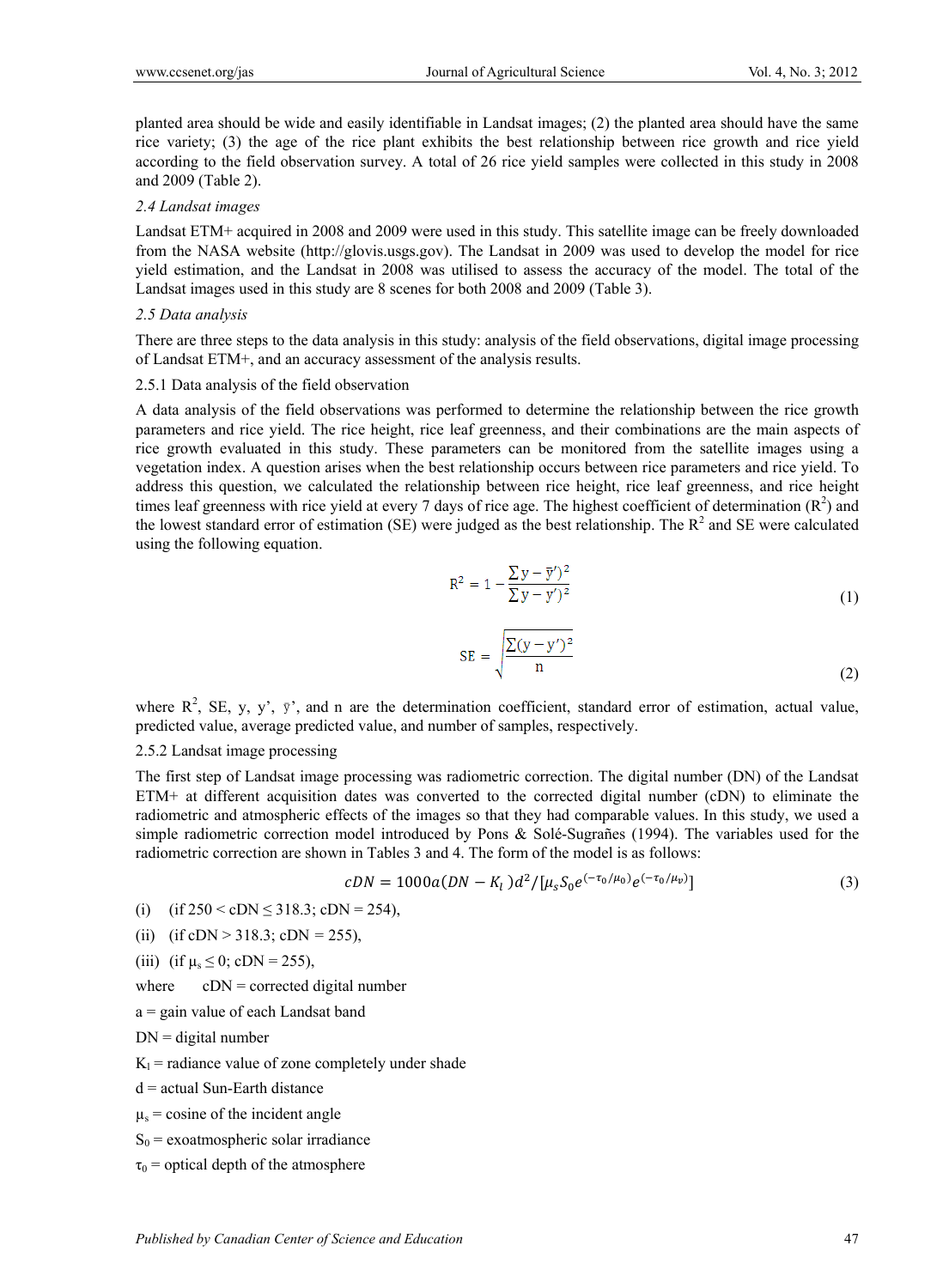planted area should be wide and easily identifiable in Landsat images; (2) the planted area should have the same rice variety; (3) the age of the rice plant exhibits the best relationship between rice growth and rice yield according to the field observation survey. A total of 26 rice yield samples were collected in this study in 2008 and 2009 (Table 2).

#### *2.4 Landsat images*

Landsat ETM+ acquired in 2008 and 2009 were used in this study. This satellite image can be freely downloaded from the NASA website (http://glovis.usgs.gov). The Landsat in 2009 was used to develop the model for rice yield estimation, and the Landsat in 2008 was utilised to assess the accuracy of the model. The total of the Landsat images used in this study are 8 scenes for both 2008 and 2009 (Table 3).

#### *2.5 Data analysis*

There are three steps to the data analysis in this study: analysis of the field observations, digital image processing of Landsat ETM+, and an accuracy assessment of the analysis results.

#### 2.5.1 Data analysis of the field observation

A data analysis of the field observations was performed to determine the relationship between the rice growth parameters and rice yield. The rice height, rice leaf greenness, and their combinations are the main aspects of rice growth evaluated in this study. These parameters can be monitored from the satellite images using a vegetation index. A question arises when the best relationship occurs between rice parameters and rice yield. To address this question, we calculated the relationship between rice height, rice leaf greenness, and rice height times leaf greenness with rice yield at every 7 days of rice age. The highest coefficient of determination  $(R^2)$  and the lowest standard error of estimation (SE) were judged as the best relationship. The  $R^2$  and SE were calculated using the following equation.

$$
R^{2} = 1 - \frac{\sum y - \overline{y}^{2}}{\sum y - y^{2}} \tag{1}
$$

$$
SE = \sqrt{\frac{\sum (y - y')^2}{n}}
$$
 (2)

where  $R^2$ , SE, y, y',  $\bar{y}'$ , and n are the determination coefficient, standard error of estimation, actual value, predicted value, average predicted value, and number of samples, respectively.

#### 2.5.2 Landsat image processing

The first step of Landsat image processing was radiometric correction. The digital number (DN) of the Landsat ETM+ at different acquisition dates was converted to the corrected digital number (cDN) to eliminate the radiometric and atmospheric effects of the images so that they had comparable values. In this study, we used a simple radiometric correction model introduced by Pons & Solé-Sugrañes (1994). The variables used for the radiometric correction are shown in Tables 3 and 4. The form of the model is as follows:

$$
cDN = 1000a(DN - K_l)d^2/[\mu_s S_0 e^{(-\tau_0/\mu_0)}e^{(-\tau_0/\mu_\nu)}]
$$
\n(3)

(i) (if  $250 <$  cDN  $\leq$  318.3; cDN = 254),

(ii) (if cDN > 318.3; cDN *=* 255),

(iii) (if  $\mu_s \le 0$ ; cDN = 255),

where  $cDN =$  corrected digital number

a = gain value of each Landsat band

 $DN =$  digital number

- $K_l$  = radiance value of zone completely under shade
- d = actual Sun-Earth distance

 $\mu$ <sub>s</sub> = cosine of the incident angle

 $S_0$  = exoatmospheric solar irradiance

 $\tau_0$  = optical depth of the atmosphere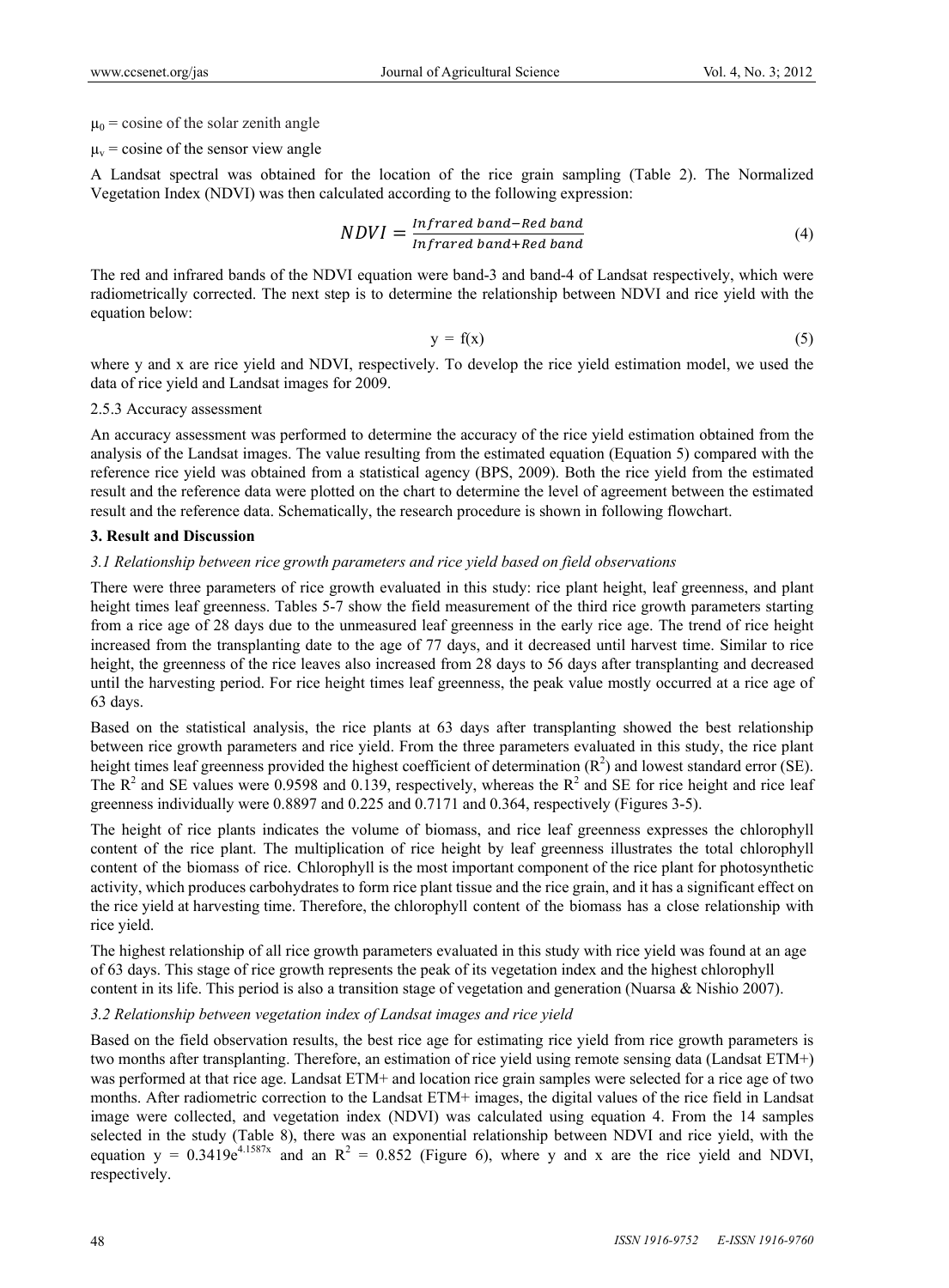$\mu_0$  = cosine of the solar zenith angle

 $\mu_{v}$  = cosine of the sensor view angle

A Landsat spectral was obtained for the location of the rice grain sampling (Table 2). The Normalized Vegetation Index (NDVI) was then calculated according to the following expression:

$$
NDVI = \frac{Infrared\,band - Red\,band}{Infrared\,band + Red\,band}
$$
\n(4)

The red and infrared bands of the NDVI equation were band-3 and band-4 of Landsat respectively, which were radiometrically corrected. The next step is to determine the relationship between NDVI and rice yield with the equation below:

$$
y = f(x) \tag{5}
$$

where y and x are rice yield and NDVI, respectively. To develop the rice yield estimation model, we used the data of rice yield and Landsat images for 2009.

#### 2.5.3 Accuracy assessment

An accuracy assessment was performed to determine the accuracy of the rice yield estimation obtained from the analysis of the Landsat images. The value resulting from the estimated equation (Equation 5) compared with the reference rice yield was obtained from a statistical agency (BPS, 2009). Both the rice yield from the estimated result and the reference data were plotted on the chart to determine the level of agreement between the estimated result and the reference data. Schematically, the research procedure is shown in following flowchart.

#### **3. Result and Discussion**

#### *3.1 Relationship between rice growth parameters and rice yield based on field observations*

There were three parameters of rice growth evaluated in this study: rice plant height, leaf greenness, and plant height times leaf greenness. Tables 5-7 show the field measurement of the third rice growth parameters starting from a rice age of 28 days due to the unmeasured leaf greenness in the early rice age. The trend of rice height increased from the transplanting date to the age of 77 days, and it decreased until harvest time. Similar to rice height, the greenness of the rice leaves also increased from 28 days to 56 days after transplanting and decreased until the harvesting period. For rice height times leaf greenness, the peak value mostly occurred at a rice age of 63 days.

Based on the statistical analysis, the rice plants at 63 days after transplanting showed the best relationship between rice growth parameters and rice yield. From the three parameters evaluated in this study, the rice plant height times leaf greenness provided the highest coefficient of determination  $(R^2)$  and lowest standard error (SE). The  $R^2$  and SE values were 0.9598 and 0.139, respectively, whereas the  $R^2$  and SE for rice height and rice leaf greenness individually were 0.8897 and 0.225 and 0.7171 and 0.364, respectively (Figures 3-5).

The height of rice plants indicates the volume of biomass, and rice leaf greenness expresses the chlorophyll content of the rice plant. The multiplication of rice height by leaf greenness illustrates the total chlorophyll content of the biomass of rice. Chlorophyll is the most important component of the rice plant for photosynthetic activity, which produces carbohydrates to form rice plant tissue and the rice grain, and it has a significant effect on the rice yield at harvesting time. Therefore, the chlorophyll content of the biomass has a close relationship with rice yield.

The highest relationship of all rice growth parameters evaluated in this study with rice yield was found at an age of 63 days. This stage of rice growth represents the peak of its vegetation index and the highest chlorophyll content in its life. This period is also a transition stage of vegetation and generation (Nuarsa & Nishio 2007).

#### *3.2 Relationship between vegetation index of Landsat images and rice yield*

Based on the field observation results, the best rice age for estimating rice yield from rice growth parameters is two months after transplanting. Therefore, an estimation of rice yield using remote sensing data (Landsat ETM+) was performed at that rice age. Landsat ETM+ and location rice grain samples were selected for a rice age of two months. After radiometric correction to the Landsat ETM+ images, the digital values of the rice field in Landsat image were collected, and vegetation index (NDVI) was calculated using equation 4. From the 14 samples selected in the study (Table 8), there was an exponential relationship between NDVI and rice yield, with the equation  $y = 0.3419e^{4.1587x}$  and an  $R^2 = 0.852$  (Figure 6), where y and x are the rice yield and NDVI, respectively.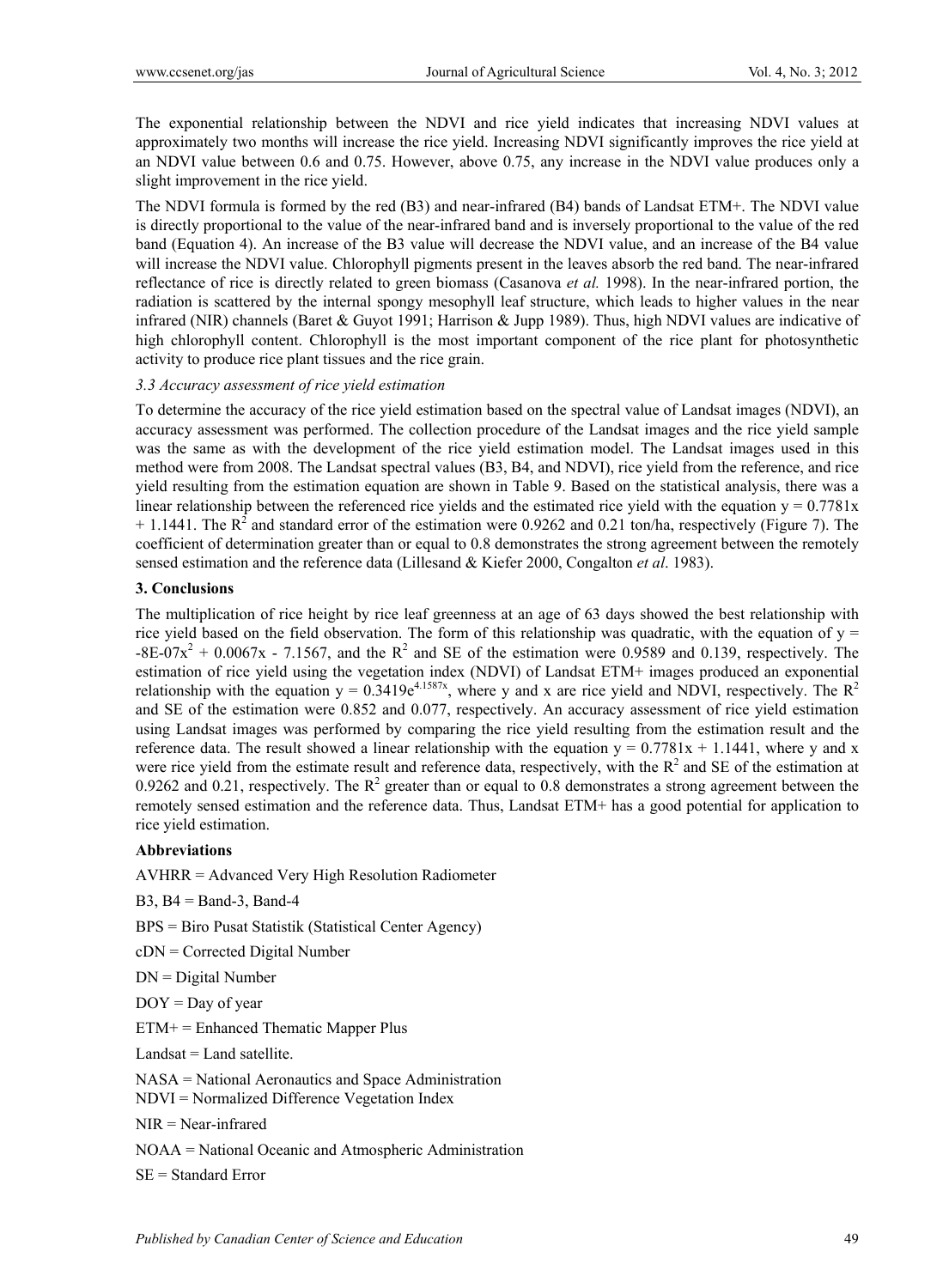The exponential relationship between the NDVI and rice yield indicates that increasing NDVI values at approximately two months will increase the rice yield. Increasing NDVI significantly improves the rice yield at an NDVI value between 0.6 and 0.75. However, above 0.75, any increase in the NDVI value produces only a slight improvement in the rice yield.

The NDVI formula is formed by the red (B3) and near-infrared (B4) bands of Landsat ETM+. The NDVI value is directly proportional to the value of the near-infrared band and is inversely proportional to the value of the red band (Equation 4). An increase of the B3 value will decrease the NDVI value, and an increase of the B4 value will increase the NDVI value. Chlorophyll pigments present in the leaves absorb the red band. The near-infrared reflectance of rice is directly related to green biomass (Casanova *et al.* 1998). In the near-infrared portion, the radiation is scattered by the internal spongy mesophyll leaf structure, which leads to higher values in the near infrared (NIR) channels (Baret & Guyot 1991; Harrison & Jupp 1989). Thus, high NDVI values are indicative of high chlorophyll content. Chlorophyll is the most important component of the rice plant for photosynthetic activity to produce rice plant tissues and the rice grain.

#### *3.3 Accuracy assessment of rice yield estimation*

To determine the accuracy of the rice yield estimation based on the spectral value of Landsat images (NDVI), an accuracy assessment was performed. The collection procedure of the Landsat images and the rice yield sample was the same as with the development of the rice yield estimation model. The Landsat images used in this method were from 2008. The Landsat spectral values (B3, B4, and NDVI), rice yield from the reference, and rice yield resulting from the estimation equation are shown in Table 9. Based on the statistical analysis, there was a linear relationship between the referenced rice yields and the estimated rice yield with the equation  $y = 0.7781x$  $+$  1.1441. The  $R^2$  and standard error of the estimation were 0.9262 and 0.21 ton/ha, respectively (Figure 7). The coefficient of determination greater than or equal to 0.8 demonstrates the strong agreement between the remotely sensed estimation and the reference data (Lillesand & Kiefer 2000, Congalton *et al*. 1983).

#### **3. Conclusions**

The multiplication of rice height by rice leaf greenness at an age of 63 days showed the best relationship with rice yield based on the field observation. The form of this relationship was quadratic, with the equation of  $y =$  $-8E-07x^2 + 0.0067x - 7.1567$ , and the R<sup>2</sup> and SE of the estimation were 0.9589 and 0.139, respectively. The estimation of rice yield using the vegetation index (NDVI) of Landsat ETM+ images produced an exponential relationship with the equation  $y = 0.3419e^{4.1587x}$ , where y and x are rice yield and NDVI, respectively. The R<sup>2</sup> and SE of the estimation were 0.852 and 0.077, respectively. An accuracy assessment of rice yield estimation using Landsat images was performed by comparing the rice yield resulting from the estimation result and the reference data. The result showed a linear relationship with the equation  $y = 0.7781x + 1.1441$ , where y and x were rice yield from the estimate result and reference data, respectively, with the  $R^2$  and SE of the estimation at 0.9262 and 0.21, respectively. The  $R^2$  greater than or equal to 0.8 demonstrates a strong agreement between the remotely sensed estimation and the reference data. Thus, Landsat ETM+ has a good potential for application to rice yield estimation.

#### **Abbreviations**

AVHRR = Advanced Very High Resolution Radiometer

 $B3$ ,  $B4 = Band-3$ ,  $Band-4$ 

BPS = Biro Pusat Statistik (Statistical Center Agency)

cDN = Corrected Digital Number

DN = Digital Number

 $DOY = Day of year$ 

 $ETM<sup>+</sup> = Enhanced Thematic Mapper Plus$ 

 $Landsat = Land satellite.$ 

NASA = National Aeronautics and Space Administration

NDVI = Normalized Difference Vegetation Index

NIR = Near-infrared

NOAA = National Oceanic and Atmospheric Administration

SE = Standard Error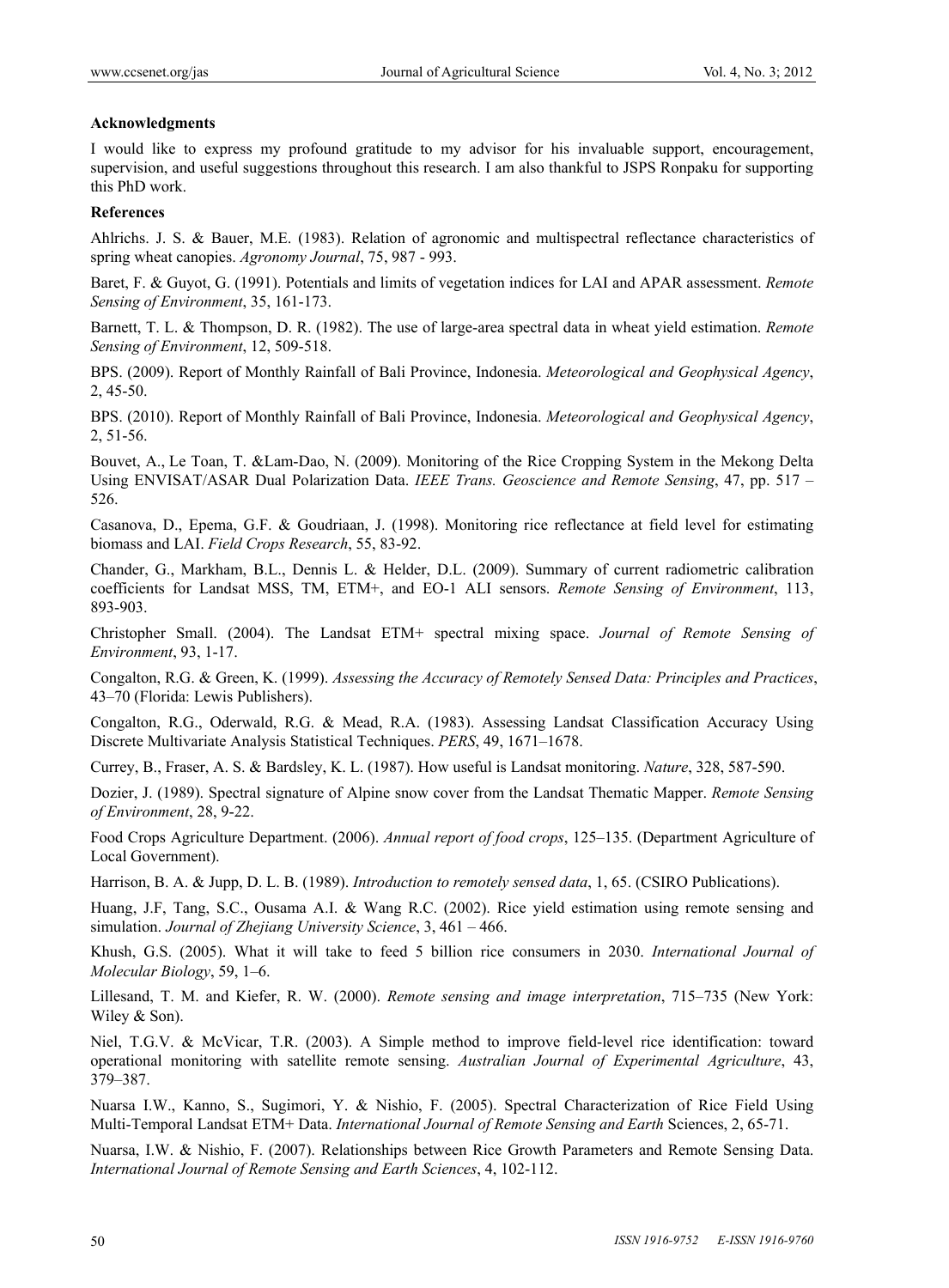#### **Acknowledgments**

I would like to express my profound gratitude to my advisor for his invaluable support, encouragement, supervision, and useful suggestions throughout this research. I am also thankful to JSPS Ronpaku for supporting this PhD work.

#### **References**

Ahlrichs. J. S. & Bauer, M.E. (1983). Relation of agronomic and multispectral reflectance characteristics of spring wheat canopies. *Agronomy Journal*, 75, 987 - 993.

Baret, F. & Guyot, G. (1991). Potentials and limits of vegetation indices for LAI and APAR assessment. *Remote Sensing of Environment*, 35, 161-173.

Barnett, T. L. & Thompson, D. R. (1982). The use of large-area spectral data in wheat yield estimation. *Remote Sensing of Environment*, 12, 509-518.

BPS. (2009). Report of Monthly Rainfall of Bali Province, Indonesia. *Meteorological and Geophysical Agency*, 2, 45-50.

BPS. (2010). Report of Monthly Rainfall of Bali Province, Indonesia. *Meteorological and Geophysical Agency*, 2, 51-56.

Bouvet, A., Le Toan, T. &Lam-Dao, N. (2009). Monitoring of the Rice Cropping System in the Mekong Delta Using ENVISAT/ASAR Dual Polarization Data. *IEEE Trans. Geoscience and Remote Sensing*, 47, pp. 517 – 526.

Casanova, D., Epema, G.F. & Goudriaan, J. (1998). Monitoring rice reflectance at field level for estimating biomass and LAI. *Field Crops Research*, 55, 83-92.

Chander, G., Markham, B.L., Dennis L. & Helder, D.L. (2009). Summary of current radiometric calibration coefficients for Landsat MSS, TM, ETM+, and EO-1 ALI sensors. *Remote Sensing of Environment*, 113, 893-903.

Christopher Small. (2004). The Landsat ETM+ spectral mixing space. *Journal of Remote Sensing of Environment*, 93, 1-17.

Congalton, R.G. & Green, K. (1999). *Assessing the Accuracy of Remotely Sensed Data: Principles and Practices*, 43–70 (Florida: Lewis Publishers).

Congalton, R.G., Oderwald, R.G. & Mead, R.A. (1983). Assessing Landsat Classification Accuracy Using Discrete Multivariate Analysis Statistical Techniques. *PERS*, 49, 1671–1678.

Currey, B., Fraser, A. S. & Bardsley, K. L. (1987). How useful is Landsat monitoring. *Nature*, 328, 587-590.

Dozier, J. (1989). Spectral signature of Alpine snow cover from the Landsat Thematic Mapper. *Remote Sensing of Environment*, 28, 9-22.

Food Crops Agriculture Department. (2006). *Annual report of food crops*, 125–135. (Department Agriculture of Local Government).

Harrison, B. A. & Jupp, D. L. B. (1989). *Introduction to remotely sensed data*, 1, 65. (CSIRO Publications).

Huang, J.F, Tang, S.C., Ousama A.I. & Wang R.C. (2002). Rice yield estimation using remote sensing and simulation. *Journal of Zhejiang University Science*, 3, 461 – 466.

Khush, G.S. (2005). What it will take to feed 5 billion rice consumers in 2030. *International Journal of Molecular Biology*, 59, 1–6.

Lillesand, T. M. and Kiefer, R. W. (2000). *Remote sensing and image interpretation*, 715–735 (New York: Wiley & Son).

Niel, T.G.V. & McVicar, T.R. (2003). A Simple method to improve field-level rice identification: toward operational monitoring with satellite remote sensing. *Australian Journal of Experimental Agriculture*, 43, 379–387.

Nuarsa I.W., Kanno, S., Sugimori, Y. & Nishio, F. (2005). Spectral Characterization of Rice Field Using Multi-Temporal Landsat ETM+ Data. *International Journal of Remote Sensing and Earth* Sciences, 2, 65-71.

Nuarsa, I.W. & Nishio, F. (2007). Relationships between Rice Growth Parameters and Remote Sensing Data. *International Journal of Remote Sensing and Earth Sciences*, 4, 102-112.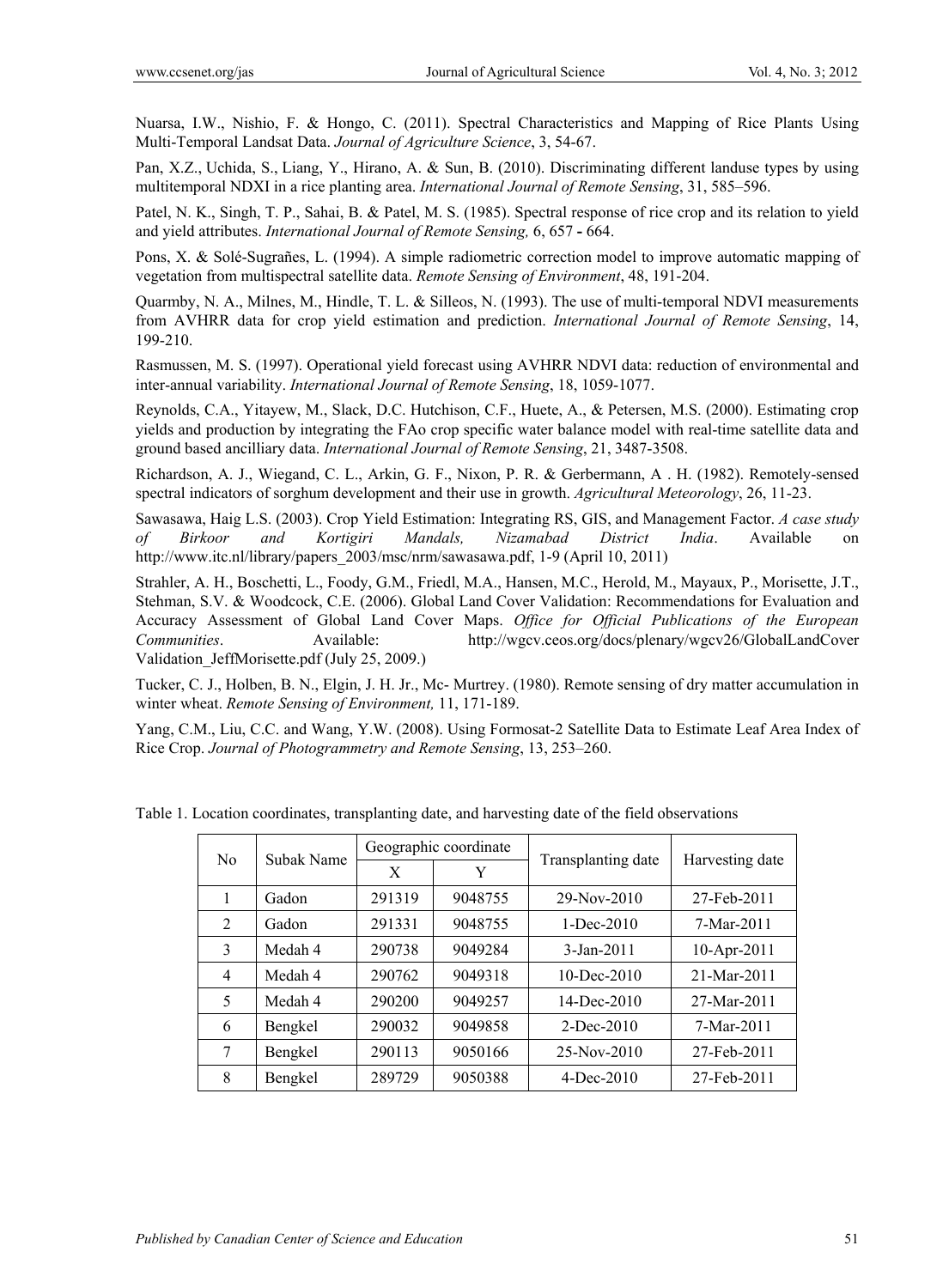Nuarsa, I.W., Nishio, F. & Hongo, C. (2011). Spectral Characteristics and Mapping of Rice Plants Using Multi-Temporal Landsat Data. *Journal of Agriculture Science*, 3, 54-67.

Pan, X.Z., Uchida, S., Liang, Y., Hirano, A. & Sun, B. (2010). Discriminating different landuse types by using multitemporal NDXI in a rice planting area. *International Journal of Remote Sensing*, 31, 585–596.

Patel, N. K., Singh, T. P., Sahai, B. & Patel, M. S. (1985). Spectral response of rice crop and its relation to yield and yield attributes. *International Journal of Remote Sensing,* 6, 657 **-** 664.

Pons, X. & Solé-Sugrañes, L. (1994). A simple radiometric correction model to improve automatic mapping of vegetation from multispectral satellite data. *Remote Sensing of Environment*, 48, 191-204.

Quarmby, N. A., Milnes, M., Hindle, T. L. & Silleos, N. (1993). The use of multi-temporal NDVI measurements from AVHRR data for crop yield estimation and prediction. *International Journal of Remote Sensing*, 14, 199-210.

Rasmussen, M. S. (1997). Operational yield forecast using AVHRR NDVI data: reduction of environmental and inter-annual variability. *International Journal of Remote Sensing*, 18, 1059-1077.

Reynolds, C.A., Yitayew, M., Slack, D.C. Hutchison, C.F., Huete, A., & Petersen, M.S. (2000). Estimating crop yields and production by integrating the FAo crop specific water balance model with real-time satellite data and ground based ancilliary data. *International Journal of Remote Sensing*, 21, 3487-3508.

Richardson, A. J., Wiegand, C. L., Arkin, G. F., Nixon, P. R. & Gerbermann, A . H. (1982). Remotely-sensed spectral indicators of sorghum development and their use in growth. *Agricultural Meteorology*, 26, 11-23.

Sawasawa, Haig L.S. (2003). Crop Yield Estimation: Integrating RS, GIS, and Management Factor. *A case study of Birkoor and Kortigiri Mandals, Nizamabad District India*. Available on http://www.itc.nl/library/papers\_2003/msc/nrm/sawasawa.pdf, 1-9 (April 10, 2011)

Strahler, A. H., Boschetti, L., Foody, G.M., Friedl, M.A., Hansen, M.C., Herold, M., Mayaux, P., Morisette, J.T., Stehman, S.V. & Woodcock, C.E. (2006). Global Land Cover Validation: Recommendations for Evaluation and Accuracy Assessment of Global Land Cover Maps. *Office for Official Publications of the European Communities*. Available: http://wgcv.ceos.org/docs/plenary/wgcv26/GlobalLandCover Validation\_JeffMorisette.pdf (July 25, 2009.)

Tucker, C. J., Holben, B. N., Elgin, J. H. Jr., Mc- Murtrey. (1980). Remote sensing of dry matter accumulation in winter wheat. *Remote Sensing of Environment,* 11, 171-189.

Yang, C.M., Liu, C.C. and Wang, Y.W. (2008). Using Formosat-2 Satellite Data to Estimate Leaf Area Index of Rice Crop. *Journal of Photogrammetry and Remote Sensing*, 13, 253–260.

| N <sub>0</sub> |            |        | Geographic coordinate |                    | Harvesting date |  |
|----------------|------------|--------|-----------------------|--------------------|-----------------|--|
|                | Subak Name | X      | Y                     | Transplanting date |                 |  |
|                | Gadon      | 291319 | 9048755               | 29-Nov-2010        | 27-Feb-2011     |  |
| 2              | Gadon      | 291331 | 9048755               | $1 - Dec-2010$     | 7-Mar-2011      |  |
| 3              | Medah 4    | 290738 | 9049284               | $3 - Jan - 2011$   | 10-Apr-2011     |  |
| 4              | Medah 4    | 290762 | 9049318               | $10$ -Dec-2010     | 21-Mar-2011     |  |
| 5              | Medah 4    | 290200 | 9049257               | $14$ -Dec-2010     | 27-Mar-2011     |  |
| 6              | Bengkel    | 290032 | 9049858               | $2$ -Dec-2010      | 7-Mar-2011      |  |
| 7              | Bengkel    | 290113 | 9050166               | $25-Nov-2010$      | 27-Feb-2011     |  |
| 8              | Bengkel    | 289729 | 9050388               | $4$ -Dec-2010      | 27-Feb-2011     |  |

Table 1. Location coordinates, transplanting date, and harvesting date of the field observations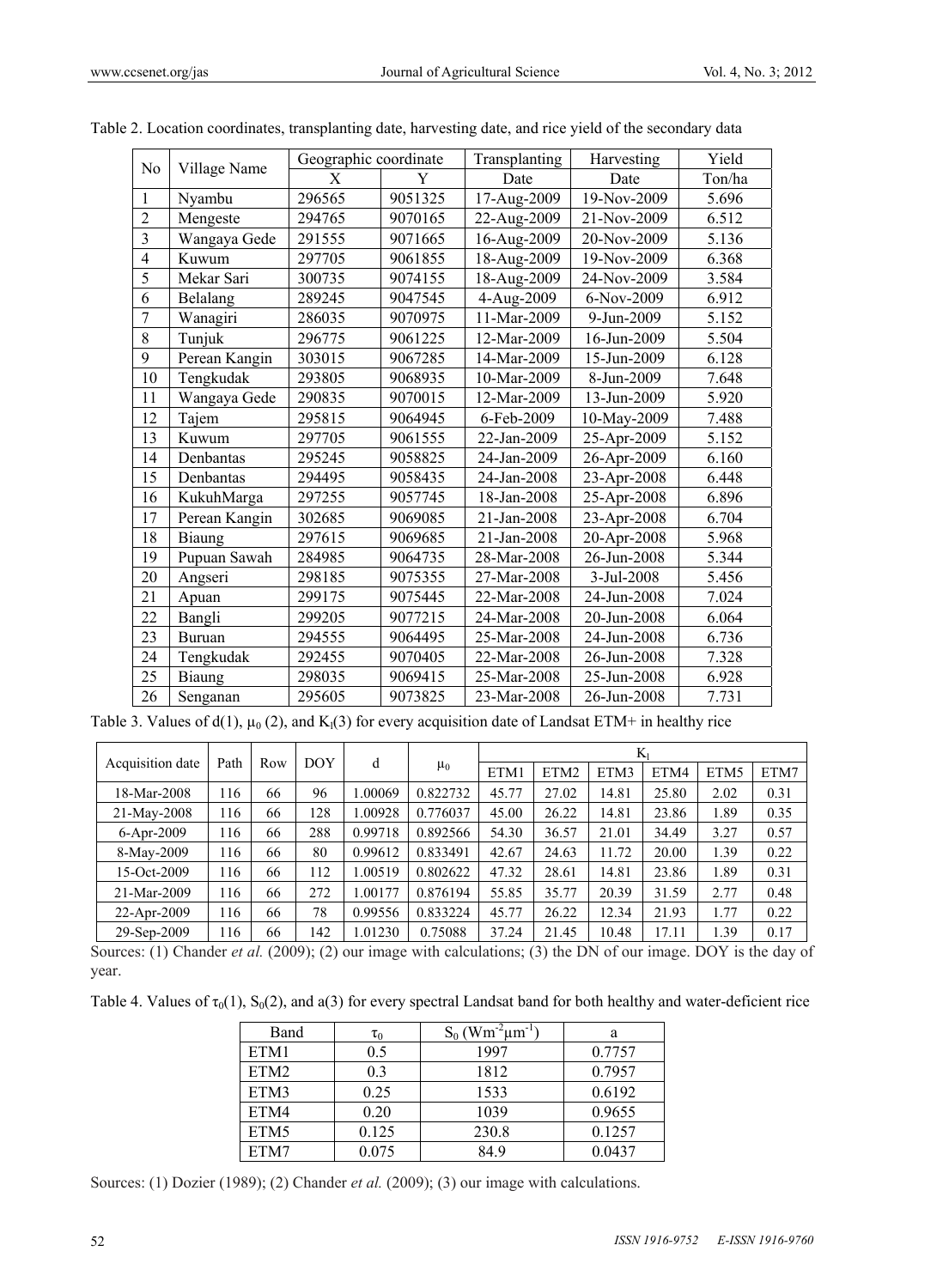|                         |               | Geographic coordinate |         | Transplanting | Harvesting  | Yield  |
|-------------------------|---------------|-----------------------|---------|---------------|-------------|--------|
| N <sub>0</sub>          | Village Name  | Χ                     | Y       | Date          | Date        | Ton/ha |
| $\mathbf{1}$            | Nyambu        | 296565                | 9051325 | 17-Aug-2009   | 19-Nov-2009 | 5.696  |
| $\overline{2}$          | Mengeste      | 294765                | 9070165 | 22-Aug-2009   | 21-Nov-2009 | 6.512  |
| $\overline{\mathbf{3}}$ | Wangaya Gede  | 291555                | 9071665 | 16-Aug-2009   | 20-Nov-2009 | 5.136  |
| $\overline{4}$          | Kuwum         | 297705                | 9061855 | 18-Aug-2009   | 19-Nov-2009 | 6.368  |
| 5                       | Mekar Sari    | 300735                | 9074155 | 18-Aug-2009   | 24-Nov-2009 | 3.584  |
| 6                       | Belalang      | 289245                | 9047545 | 4-Aug-2009    | 6-Nov-2009  | 6.912  |
| $\overline{7}$          | Wanagiri      | 286035                | 9070975 | 11-Mar-2009   | 9-Jun-2009  | 5.152  |
| 8                       | Tunjuk        | 296775                | 9061225 | 12-Mar-2009   | 16-Jun-2009 | 5.504  |
| 9                       | Perean Kangin | 303015                | 9067285 | 14-Mar-2009   | 15-Jun-2009 | 6.128  |
| 10                      | Tengkudak     | 293805                | 9068935 | 10-Mar-2009   | 8-Jun-2009  | 7.648  |
| 11                      | Wangaya Gede  | 290835                | 9070015 | 12-Mar-2009   | 13-Jun-2009 | 5.920  |
| 12                      | Tajem         | 295815                | 9064945 | 6-Feb-2009    | 10-May-2009 | 7.488  |
| 13                      | Kuwum         | 297705                | 9061555 | 22-Jan-2009   | 25-Apr-2009 | 5.152  |
| 14                      | Denbantas     | 295245                | 9058825 | 24-Jan-2009   | 26-Apr-2009 | 6.160  |
| 15                      | Denbantas     | 294495                | 9058435 | 24-Jan-2008   | 23-Apr-2008 | 6.448  |
| 16                      | KukuhMarga    | 297255                | 9057745 | 18-Jan-2008   | 25-Apr-2008 | 6.896  |
| 17                      | Perean Kangin | 302685                | 9069085 | 21-Jan-2008   | 23-Apr-2008 | 6.704  |
| 18                      | Biaung        | 297615                | 9069685 | 21-Jan-2008   | 20-Apr-2008 | 5.968  |
| 19                      | Pupuan Sawah  | 284985                | 9064735 | 28-Mar-2008   | 26-Jun-2008 | 5.344  |
| 20                      | Angseri       | 298185                | 9075355 | 27-Mar-2008   | 3-Jul-2008  | 5.456  |
| 21                      | Apuan         | 299175                | 9075445 | 22-Mar-2008   | 24-Jun-2008 | 7.024  |
| 22                      | Bangli        | 299205                | 9077215 | 24-Mar-2008   | 20-Jun-2008 | 6.064  |
| 23                      | <b>Buruan</b> | 294555                | 9064495 | 25-Mar-2008   | 24-Jun-2008 | 6.736  |
| 24                      | Tengkudak     | 292455                | 9070405 | 22-Mar-2008   | 26-Jun-2008 | 7.328  |
| 25                      | Biaung        | 298035                | 9069415 | 25-Mar-2008   | 25-Jun-2008 | 6.928  |
| 26                      | Senganan      | 295605                | 9073825 | 23-Mar-2008   | 26-Jun-2008 | 7.731  |

| Table 2. Location coordinates, transplanting date, harvesting date, and rice yield of the secondary data |  |  |  |
|----------------------------------------------------------------------------------------------------------|--|--|--|
|                                                                                                          |  |  |  |

Table 3. Values of  $d(1)$ ,  $\mu_0$  (2), and  $K_1(3)$  for every acquisition date of Landsat ETM+ in healthy rice

|                  |      |     |            |         |          | $\rm K_{1}$ |                  |       |       |      |      |
|------------------|------|-----|------------|---------|----------|-------------|------------------|-------|-------|------|------|
| Acquisition date | Path | Row | <b>DOY</b> | d       | $\mu_0$  | ETM1        | ETM <sub>2</sub> | ETM3  | ETM4  | ETM5 | ETM7 |
| 18-Mar-2008      | 116  | 66  | 96         | .00069  | 0.822732 | 45.77       | 27.02            | 14.81 | 25.80 | 2.02 | 0.31 |
| 21-May-2008      | 116  | 66  | 128        | .00928  | 0.776037 | 45.00       | 26.22            | 14.81 | 23.86 | 1.89 | 0.35 |
| 6-Apr-2009       | 116  | 66  | 288        | 0.99718 | 0.892566 | 54.30       | 36.57            | 21.01 | 34.49 | 3.27 | 0.57 |
| 8-May-2009       | 116  | 66  | 80         | 0.99612 | 0.833491 | 42.67       | 24.63            | 11.72 | 20.00 | 1.39 | 0.22 |
| 15-Oct-2009      | 116  | 66  | 112        | .00519  | 0.802622 | 47.32       | 28.61            | 14.81 | 23.86 | 1.89 | 0.31 |
| 21-Mar-2009      | 116  | 66  | 272        | 1.00177 | 0.876194 | 55.85       | 35.77            | 20.39 | 31.59 | 2.77 | 0.48 |
| 22-Apr-2009      | 116  | 66  | 78         | 0.99556 | 0.833224 | 45.77       | 26.22            | 12.34 | 21.93 | 1.77 | 0.22 |
| 29-Sep-2009      | 16   | 66  | 142        | .01230  | 0.75088  | 37.24       | 21.45            | 10.48 | 17.11 | 1.39 | 0.17 |

Sources: (1) Chander *et al.* (2009); (2) our image with calculations; (3) the DN of our image. DOY is the day of year.

Table 4. Values of  $\tau_0(1)$ , S<sub>0</sub>(2), and a(3) for every spectral Landsat band for both healthy and water-deficient rice

| Band             | $\tau_0$ | $S_0$ (Wm <sup>-2</sup> <sub>µm</sub> -1 | a      |
|------------------|----------|------------------------------------------|--------|
| ETM1             | 0.5      | 1997                                     | 0.7757 |
| ETM <sub>2</sub> | 0.3      | 1812                                     | 0.7957 |
| ETM3             | 0.25     | 1533                                     | 0.6192 |
| ETM4             | 0.20     | 1039                                     | 0.9655 |
| ETM5             | 0.125    | 230.8                                    | 0.1257 |
| ETM7             | 0.075    | 849                                      | 0.0437 |

Sources: (1) Dozier (1989); (2) Chander *et al.* (2009); (3) our image with calculations.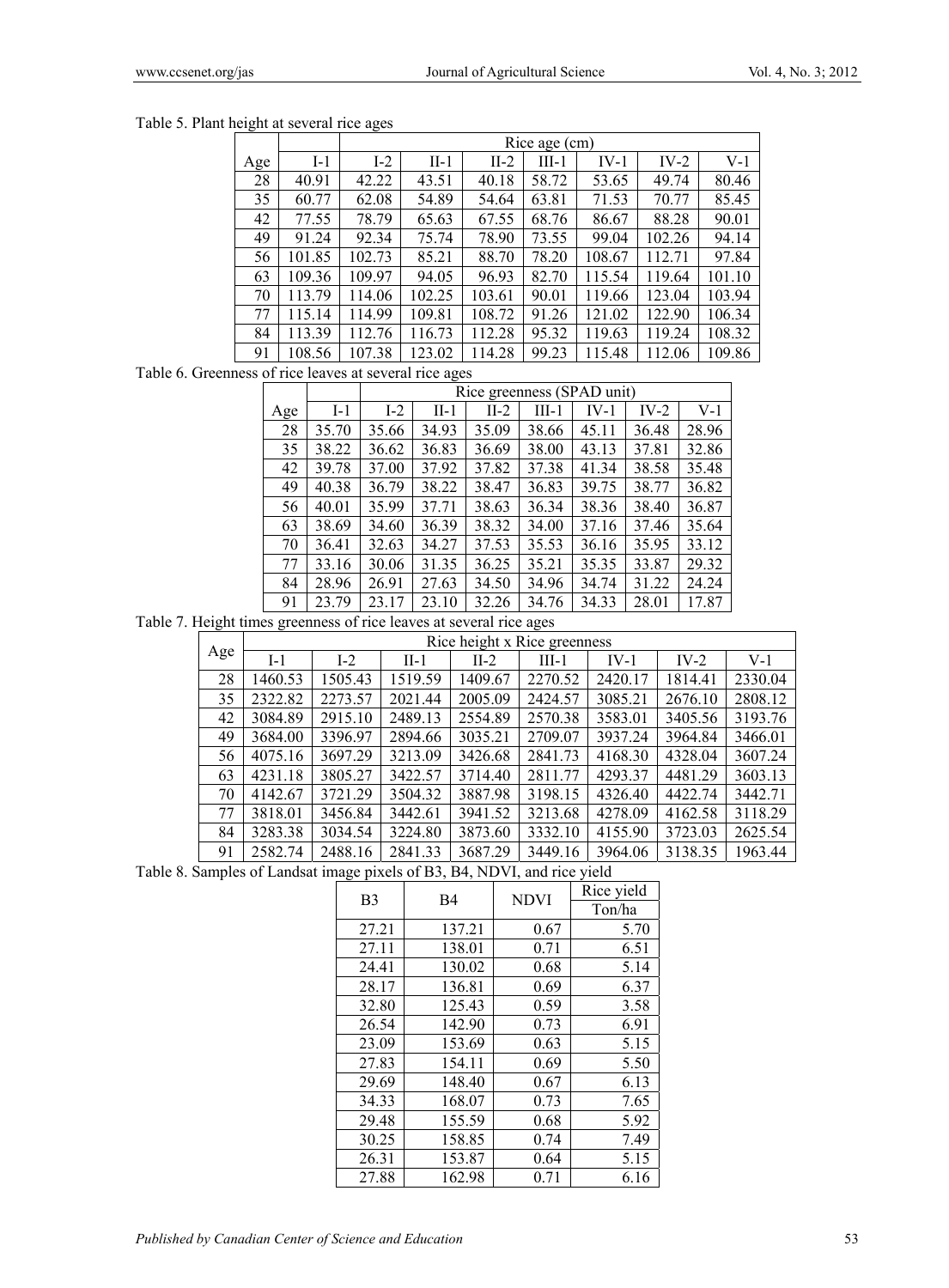Table 5. Plant height at several rice ages

|     |        |        | Rice age (cm) |        |         |        |        |        |  |
|-----|--------|--------|---------------|--------|---------|--------|--------|--------|--|
| Age | $I-1$  | $I-2$  | $II-1$        | $II-2$ | $III-1$ | $IV-1$ | $IV-2$ | $V-1$  |  |
| 28  | 40.91  | 42.22  | 43.51         | 40.18  | 58.72   | 53.65  | 49.74  | 80.46  |  |
| 35  | 60.77  | 62.08  | 54.89         | 54.64  | 63.81   | 71.53  | 70.77  | 85.45  |  |
| 42  | 77.55  | 78.79  | 65.63         | 67.55  | 68.76   | 86.67  | 88.28  | 90.01  |  |
| 49  | 91.24  | 92.34  | 75.74         | 78.90  | 73.55   | 99.04  | 102.26 | 94.14  |  |
| 56  | 101.85 | 102.73 | 85.21         | 88.70  | 78.20   | 108.67 | 112.71 | 97.84  |  |
| 63  | 109.36 | 109.97 | 94.05         | 96.93  | 82.70   | 115.54 | 119.64 | 101.10 |  |
| 70  | 113.79 | 114.06 | 102.25        | 103.61 | 90.01   | 119.66 | 123.04 | 103.94 |  |
| 77  | 115.14 | 114.99 | 109.81        | 108.72 | 91.26   | 121.02 | 122.90 | 106.34 |  |
| 84  | 113.39 | 112.76 | 116.73        | 112.28 | 95.32   | 119.63 | 119.24 | 108.32 |  |
| 91  | 108.56 | 107.38 | 123.02        | 114.28 | 99.23   | 115.48 | 112.06 | 109.86 |  |

### Table 6. Greenness of rice leaves at several rice ages

|     |       |       | Rice greenness (SPAD unit) |       |         |        |       |       |
|-----|-------|-------|----------------------------|-------|---------|--------|-------|-------|
| Age | $I-1$ | $I-2$ | II-1                       | II-2  | $III-1$ | $IV-1$ | IV-2  | V-1   |
| 28  | 35.70 | 35.66 | 34.93                      | 35.09 | 38.66   | 45.11  | 36.48 | 28.96 |
| 35  | 38.22 | 36.62 | 36.83                      | 36.69 | 38.00   | 43.13  | 37.81 | 32.86 |
| 42  | 39.78 | 37.00 | 37.92                      | 37.82 | 37.38   | 41.34  | 38.58 | 35.48 |
| 49  | 40.38 | 36.79 | 38.22                      | 38.47 | 36.83   | 39.75  | 38.77 | 36.82 |
| 56  | 40.01 | 35.99 | 37.71                      | 38.63 | 36.34   | 38.36  | 38.40 | 36.87 |
| 63  | 38.69 | 34.60 | 36.39                      | 38.32 | 34.00   | 37.16  | 37.46 | 35.64 |
| 70  | 36.41 | 32.63 | 34.27                      | 37.53 | 35.53   | 36.16  | 35.95 | 33.12 |
| 77  | 33.16 | 30.06 | 31.35                      | 36.25 | 35.21   | 35.35  | 33.87 | 29.32 |
| 84  | 28.96 | 26.91 | 27.63                      | 34.50 | 34.96   | 34.74  | 31.22 | 24.24 |
| 91  | 23.79 | 23.17 | 23.10                      | 32.26 | 34.76   | 34.33  | 28.01 | 17.87 |

Table 7. Height times greenness of rice leaves at several rice ages

|     |         | Rice height x Rice greenness |         |         |         |         |         |         |  |  |
|-----|---------|------------------------------|---------|---------|---------|---------|---------|---------|--|--|
| Age | $I-1$   | $I-2$                        | $II-1$  | $II-2$  | $III-1$ | $IV-1$  | $IV-2$  | $V-1$   |  |  |
| 28  | 1460.53 | 1505.43                      | 1519.59 | 1409.67 | 2270.52 | 2420.17 | 1814.41 | 2330.04 |  |  |
| 35  | 2322.82 | 2273.57                      | 2021.44 | 2005.09 | 2424.57 | 3085.21 | 2676.10 | 2808.12 |  |  |
| 42  | 3084.89 | 2915.10                      | 2489.13 | 2554.89 | 2570.38 | 3583.01 | 3405.56 | 3193.76 |  |  |
| 49  | 3684.00 | 3396.97                      | 2894.66 | 3035.21 | 2709.07 | 3937.24 | 3964.84 | 3466.01 |  |  |
| 56  | 4075.16 | 3697.29                      | 3213.09 | 3426.68 | 2841.73 | 4168.30 | 4328.04 | 3607.24 |  |  |
| 63  | 4231.18 | 3805.27                      | 3422.57 | 3714.40 | 2811.77 | 4293.37 | 4481.29 | 3603.13 |  |  |
| 70  | 4142.67 | 3721.29                      | 3504.32 | 3887.98 | 3198.15 | 4326.40 | 4422.74 | 3442.71 |  |  |
| 77  | 3818.01 | 3456.84                      | 3442.61 | 3941.52 | 3213.68 | 4278.09 | 4162.58 | 3118.29 |  |  |
| 84  | 3283.38 | 3034.54                      | 3224.80 | 3873.60 | 3332.10 | 4155.90 | 3723.03 | 2625.54 |  |  |
| 91  | 2582.74 | 2488.16                      | 2841.33 | 3687.29 | 3449.16 | 3964.06 | 3138.35 | 1963.44 |  |  |

Table 8. Samples of Landsat image pixels of B3, B4, NDVI, and rice yield

| B <sub>3</sub> | <b>B4</b> | <b>NDVI</b> | Rice yield |  |
|----------------|-----------|-------------|------------|--|
|                |           |             | Ton/ha     |  |
| 27.21          | 137.21    | 0.67        | 5.70       |  |
| 27.11          | 138.01    | 0.71        | 6.51       |  |
| 24.41          | 130.02    | 0.68        | 5.14       |  |
| 28.17          | 136.81    | 0.69        | 6.37       |  |
| 32.80          | 125.43    | 0.59        | 3.58       |  |
| 26.54          | 142.90    | 0.73        | 6.91       |  |
| 23.09          | 153.69    | 0.63        | 5.15       |  |
| 27.83          | 154.11    | 0.69        | 5.50       |  |
| 29.69          | 148.40    | 0.67        | 6.13       |  |
| 34.33          | 168.07    | 0.73        | 7.65       |  |
| 29.48          | 155.59    | 0.68        | 5.92       |  |
| 30.25          | 158.85    | 0.74        | 7.49       |  |
| 26.31          | 153.87    | 0.64        | 5.15       |  |
| 27.88          | 162.98    | 0.71        | 6.16       |  |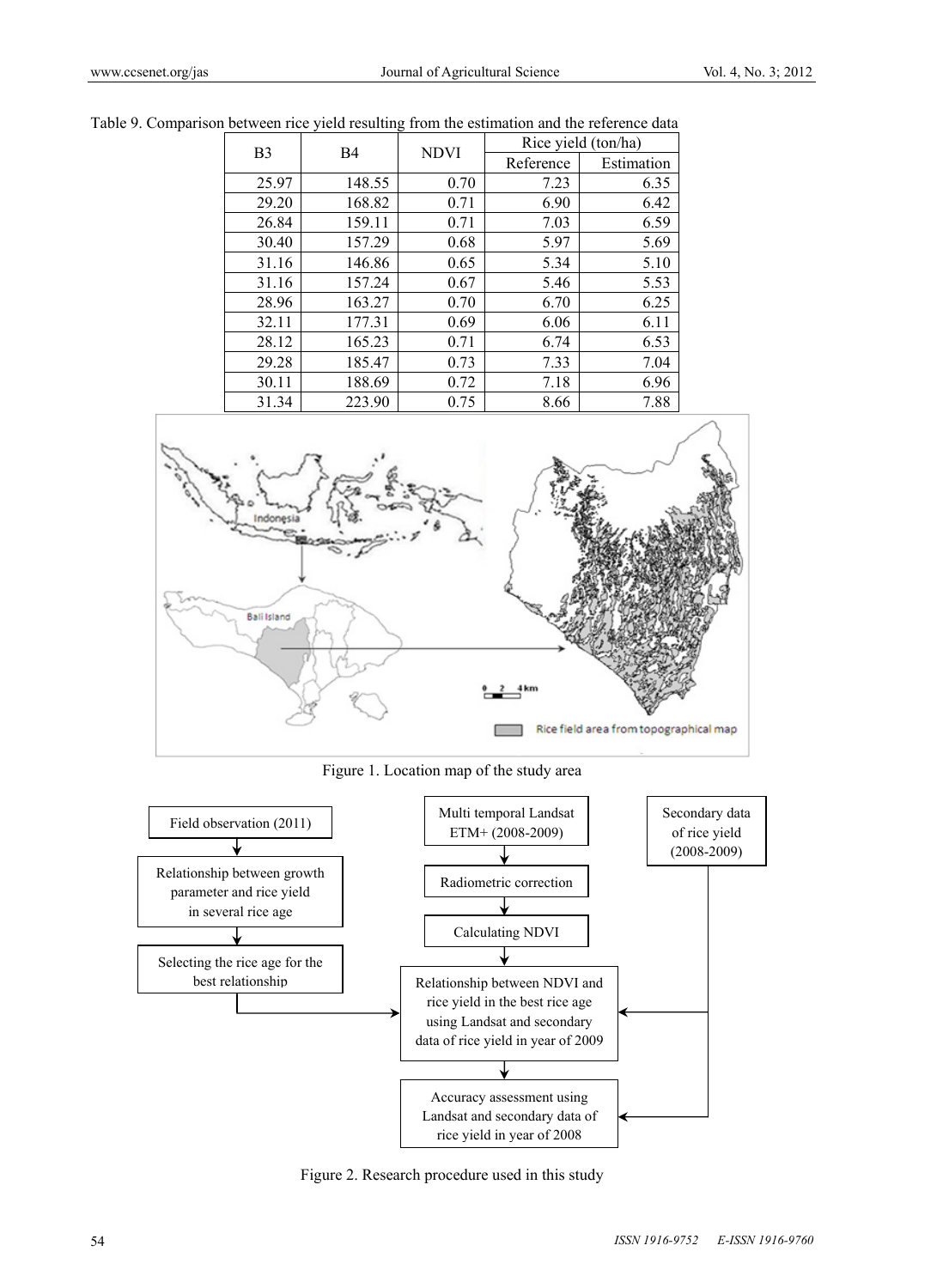| B <sub>3</sub> | <b>B4</b> | <b>NDVI</b> |           | Rice yield (ton/ha) |
|----------------|-----------|-------------|-----------|---------------------|
|                |           |             | Reference | Estimation          |
| 25.97          | 148.55    | 0.70        | 7.23      | 6.35                |
| 29.20          | 168.82    | 0.71        | 6.90      | 6.42                |
| 26.84          | 159.11    | 0.71        | 7.03      | 6.59                |
| 30.40          | 157.29    | 0.68        | 5.97      | 5.69                |
| 31.16          | 146.86    | 0.65        | 5.34      | 5.10                |
| 31.16          | 157.24    | 0.67        | 5.46      | 5.53                |
| 28.96          | 163.27    | 0.70        | 6.70      | 6.25                |
| 32.11          | 177.31    | 0.69        | 6.06      | 6.11                |
| 28.12          | 165.23    | 0.71        | 6.74      | 6.53                |
| 29.28          | 185.47    | 0.73        | 7.33      | 7.04                |
| 30.11          | 188.69    | 0.72        | 7.18      | 6.96                |
| 31.34          | 223.90    | 0.75        | 8.66      | 7.88                |

Table 9. Comparison between rice yield resulting from the estimation and the reference data



Figure 1. Location map of the study area



Figure 2. Research procedure used in this study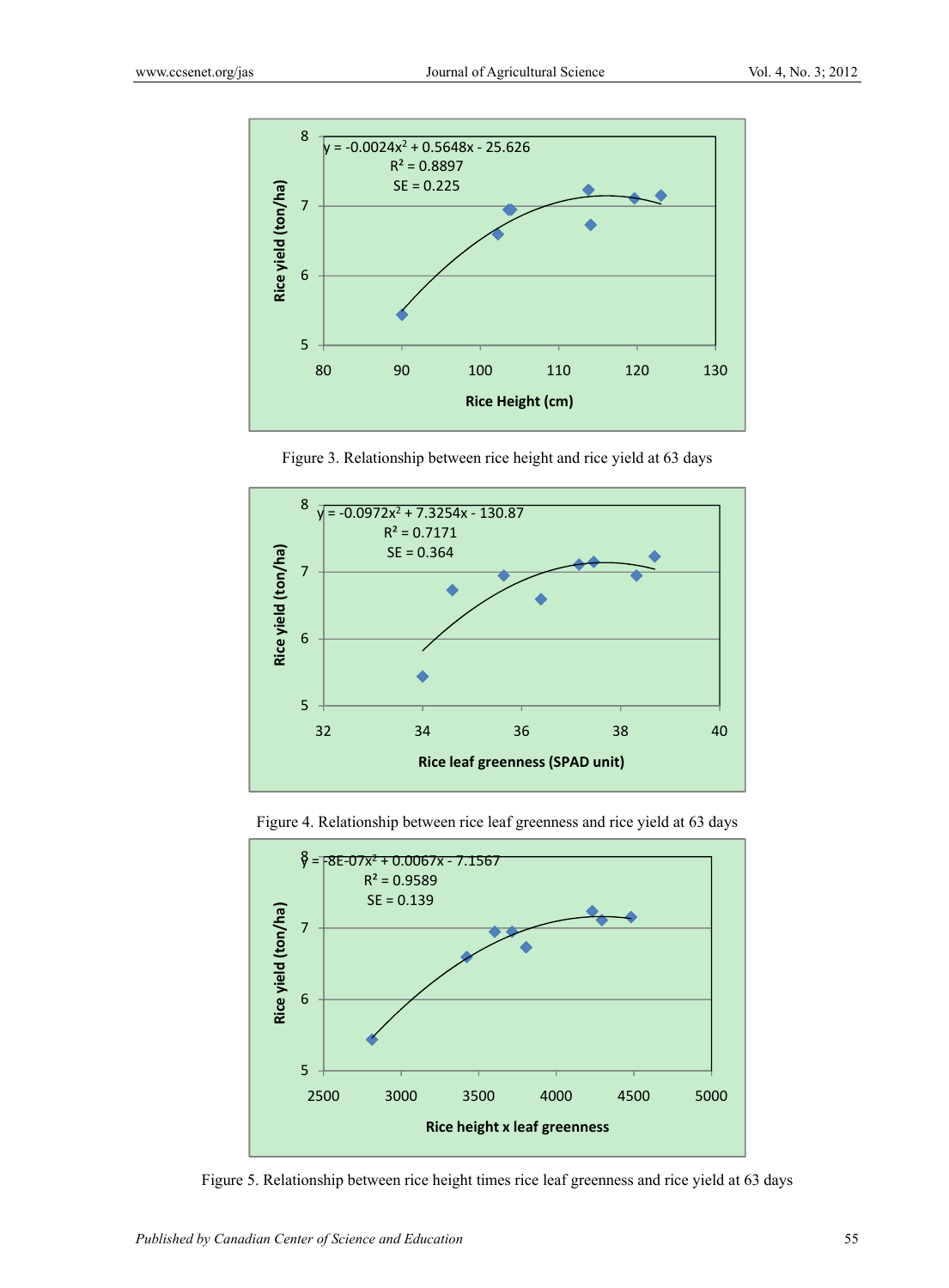

Figure 3. Relationship between rice height and rice yield at 63 days



Figure 4. Relationship between rice leaf greenness and rice yield at 63 days



Figure 5. Relationship between rice height times rice leaf greenness and rice yield at 63 days